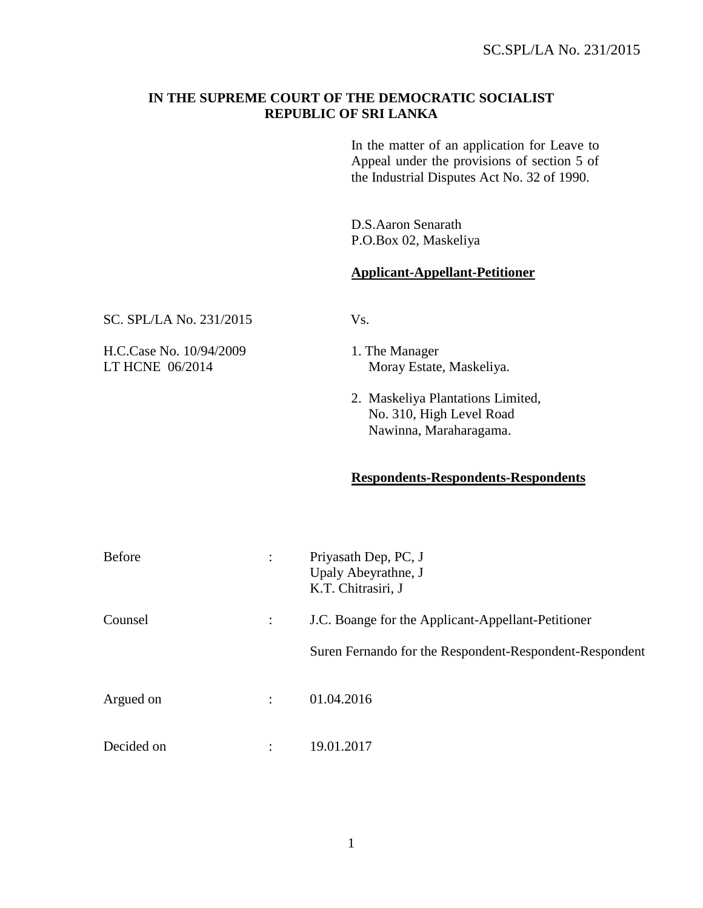## **IN THE SUPREME COURT OF THE DEMOCRATIC SOCIALIST REPUBLIC OF SRI LANKA**

In the matter of an application for Leave to Appeal under the provisions of section 5 of the Industrial Disputes Act No. 32 of 1990.

D.S.Aaron Senarath P.O.Box 02, Maskeliya

## **Applicant-Appellant-Petitioner**

| SC. SPL/LA No. 231/2015 |  |
|-------------------------|--|
|-------------------------|--|

H.C.Case No. 10/94/2009 1. The Manager

- LT HCNE 06/2014 Moray Estate, Maskeliya.
	- 2. Maskeliya Plantations Limited, No. 310, High Level Road Nawinna, Maraharagama.

## **Respondents-Respondents-Respondents**

| <b>Before</b> |                | Priyasath Dep, PC, J<br>Upaly Abeyrathne, J<br>K.T. Chitrasiri, J |
|---------------|----------------|-------------------------------------------------------------------|
| Counsel       |                | J.C. Boange for the Applicant-Appellant-Petitioner                |
|               |                | Suren Fernando for the Respondent-Respondent-Respondent           |
| Argued on     | $\ddot{\cdot}$ | 01.04.2016                                                        |
| Decided on    | ٠              | 19.01.2017                                                        |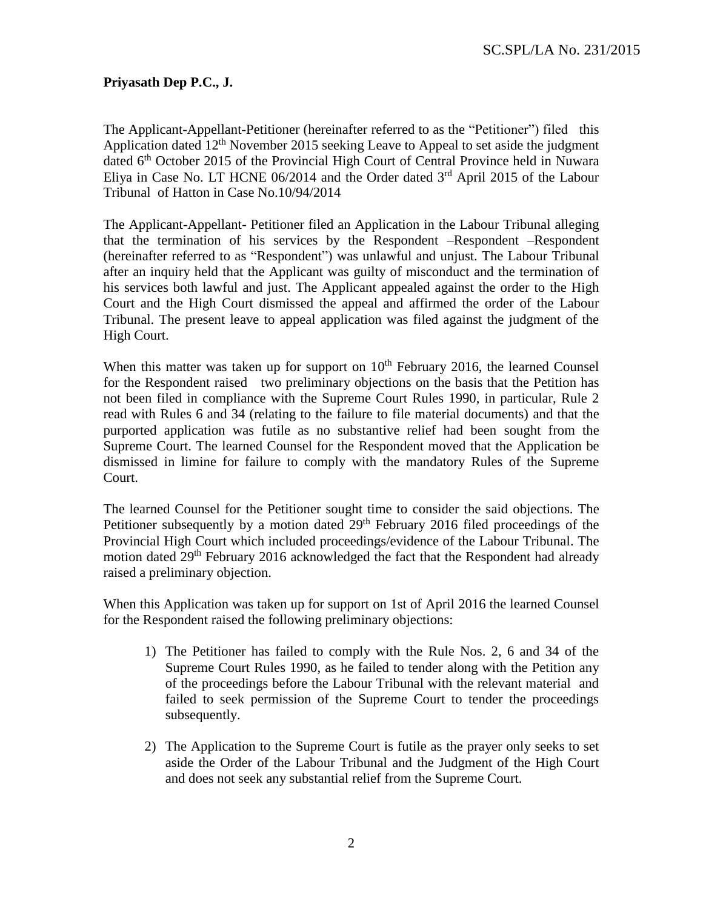## **Priyasath Dep P.C., J.**

The Applicant-Appellant-Petitioner (hereinafter referred to as the "Petitioner") filed this Application dated  $12<sup>th</sup>$  November 2015 seeking Leave to Appeal to set aside the judgment dated 6<sup>th</sup> October 2015 of the Provincial High Court of Central Province held in Nuwara Eliya in Case No. LT HCNE  $06/2014$  and the Order dated  $3<sup>rd</sup>$  April 2015 of the Labour Tribunal of Hatton in Case No.10/94/2014

The Applicant-Appellant- Petitioner filed an Application in the Labour Tribunal alleging that the termination of his services by the Respondent –Respondent –Respondent (hereinafter referred to as "Respondent") was unlawful and unjust. The Labour Tribunal after an inquiry held that the Applicant was guilty of misconduct and the termination of his services both lawful and just. The Applicant appealed against the order to the High Court and the High Court dismissed the appeal and affirmed the order of the Labour Tribunal. The present leave to appeal application was filed against the judgment of the High Court.

When this matter was taken up for support on  $10<sup>th</sup>$  February 2016, the learned Counsel for the Respondent raised two preliminary objections on the basis that the Petition has not been filed in compliance with the Supreme Court Rules 1990, in particular, Rule 2 read with Rules 6 and 34 (relating to the failure to file material documents) and that the purported application was futile as no substantive relief had been sought from the Supreme Court. The learned Counsel for the Respondent moved that the Application be dismissed in limine for failure to comply with the mandatory Rules of the Supreme Court.

The learned Counsel for the Petitioner sought time to consider the said objections. The Petitioner subsequently by a motion dated 29<sup>th</sup> February 2016 filed proceedings of the Provincial High Court which included proceedings/evidence of the Labour Tribunal. The motion dated 29<sup>th</sup> February 2016 acknowledged the fact that the Respondent had already raised a preliminary objection.

When this Application was taken up for support on 1st of April 2016 the learned Counsel for the Respondent raised the following preliminary objections:

- 1) The Petitioner has failed to comply with the Rule Nos. 2, 6 and 34 of the Supreme Court Rules 1990, as he failed to tender along with the Petition any of the proceedings before the Labour Tribunal with the relevant material and failed to seek permission of the Supreme Court to tender the proceedings subsequently.
- 2) The Application to the Supreme Court is futile as the prayer only seeks to set aside the Order of the Labour Tribunal and the Judgment of the High Court and does not seek any substantial relief from the Supreme Court.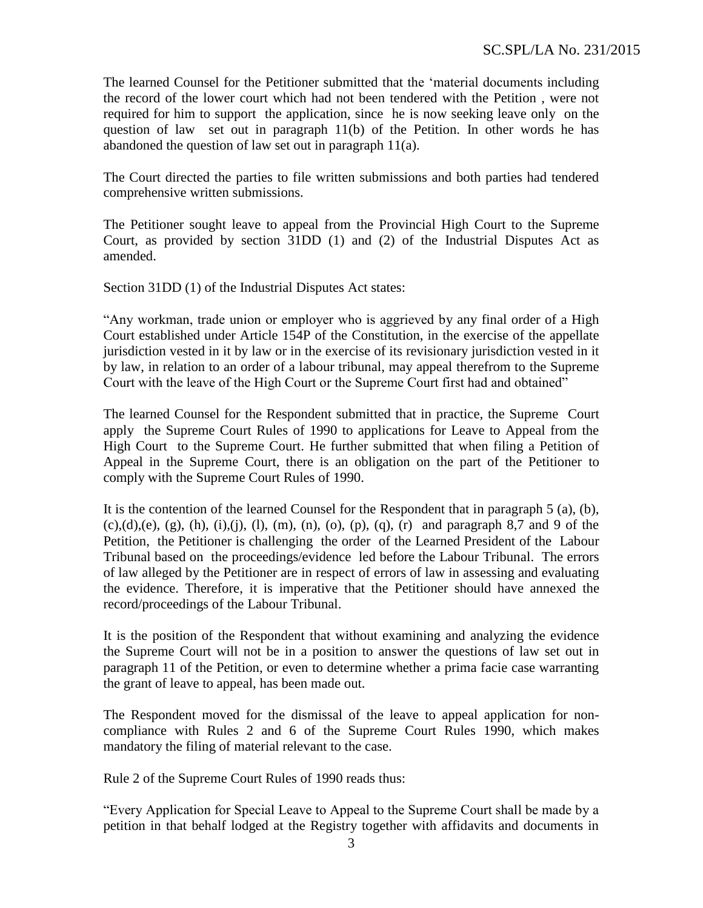The learned Counsel for the Petitioner submitted that the 'material documents including the record of the lower court which had not been tendered with the Petition , were not required for him to support the application, since he is now seeking leave only on the question of law set out in paragraph 11(b) of the Petition. In other words he has abandoned the question of law set out in paragraph 11(a).

The Court directed the parties to file written submissions and both parties had tendered comprehensive written submissions.

The Petitioner sought leave to appeal from the Provincial High Court to the Supreme Court, as provided by section 31DD (1) and (2) of the Industrial Disputes Act as amended.

Section 31DD (1) of the Industrial Disputes Act states:

"Any workman, trade union or employer who is aggrieved by any final order of a High Court established under Article 154P of the Constitution, in the exercise of the appellate jurisdiction vested in it by law or in the exercise of its revisionary jurisdiction vested in it by law, in relation to an order of a labour tribunal, may appeal therefrom to the Supreme Court with the leave of the High Court or the Supreme Court first had and obtained"

The learned Counsel for the Respondent submitted that in practice, the Supreme Court apply the Supreme Court Rules of 1990 to applications for Leave to Appeal from the High Court to the Supreme Court. He further submitted that when filing a Petition of Appeal in the Supreme Court, there is an obligation on the part of the Petitioner to comply with the Supreme Court Rules of 1990.

It is the contention of the learned Counsel for the Respondent that in paragraph 5 (a), (b),  $(c), (d), (e), (g), (h), (i), (i), (l), (m), (n), (o), (p), (q), (r)$  and paragraph 8,7 and 9 of the Petition, the Petitioner is challenging the order of the Learned President of the Labour Tribunal based on the proceedings/evidence led before the Labour Tribunal. The errors of law alleged by the Petitioner are in respect of errors of law in assessing and evaluating the evidence. Therefore, it is imperative that the Petitioner should have annexed the record/proceedings of the Labour Tribunal.

It is the position of the Respondent that without examining and analyzing the evidence the Supreme Court will not be in a position to answer the questions of law set out in paragraph 11 of the Petition, or even to determine whether a prima facie case warranting the grant of leave to appeal, has been made out.

The Respondent moved for the dismissal of the leave to appeal application for noncompliance with Rules 2 and 6 of the Supreme Court Rules 1990, which makes mandatory the filing of material relevant to the case.

Rule 2 of the Supreme Court Rules of 1990 reads thus:

"Every Application for Special Leave to Appeal to the Supreme Court shall be made by a petition in that behalf lodged at the Registry together with affidavits and documents in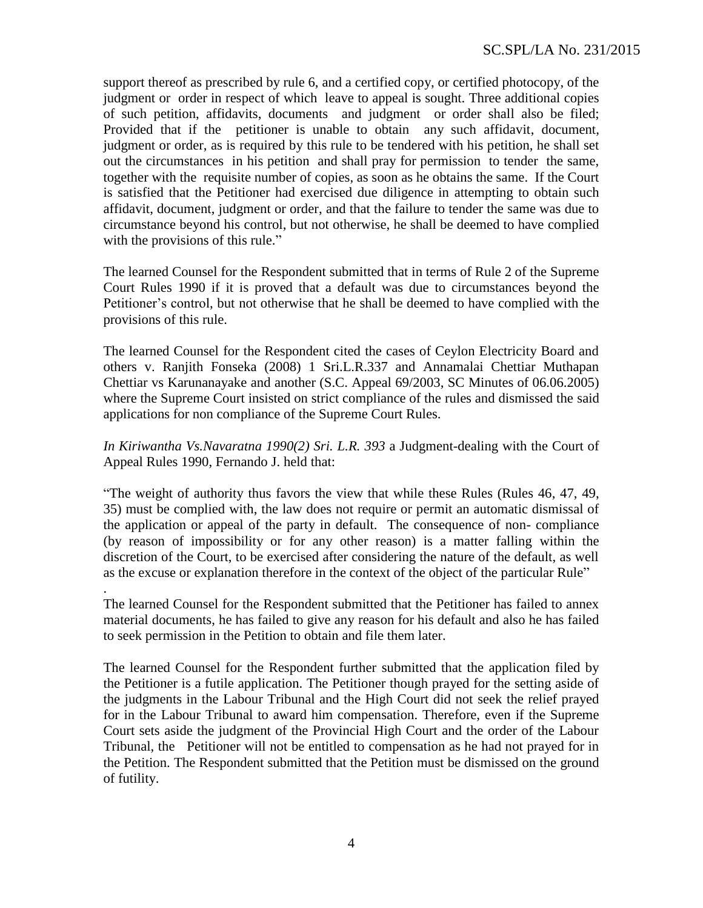support thereof as prescribed by rule 6, and a certified copy, or certified photocopy, of the judgment or order in respect of which leave to appeal is sought. Three additional copies of such petition, affidavits, documents and judgment or order shall also be filed; Provided that if the petitioner is unable to obtain any such affidavit, document, judgment or order, as is required by this rule to be tendered with his petition, he shall set out the circumstances in his petition and shall pray for permission to tender the same, together with the requisite number of copies, as soon as he obtains the same. If the Court is satisfied that the Petitioner had exercised due diligence in attempting to obtain such affidavit, document, judgment or order, and that the failure to tender the same was due to circumstance beyond his control, but not otherwise, he shall be deemed to have complied with the provisions of this rule."

The learned Counsel for the Respondent submitted that in terms of Rule 2 of the Supreme Court Rules 1990 if it is proved that a default was due to circumstances beyond the Petitioner's control, but not otherwise that he shall be deemed to have complied with the provisions of this rule.

The learned Counsel for the Respondent cited the cases of Ceylon Electricity Board and others v. Ranjith Fonseka (2008) 1 Sri.L.R.337 and Annamalai Chettiar Muthapan Chettiar vs Karunanayake and another (S.C. Appeal 69/2003, SC Minutes of 06.06.2005) where the Supreme Court insisted on strict compliance of the rules and dismissed the said applications for non compliance of the Supreme Court Rules.

*In Kiriwantha Vs.Navaratna 1990(2) Sri. L.R. 393* a Judgment-dealing with the Court of Appeal Rules 1990, Fernando J. held that:

"The weight of authority thus favors the view that while these Rules (Rules 46, 47, 49, 35) must be complied with, the law does not require or permit an automatic dismissal of the application or appeal of the party in default. The consequence of non- compliance (by reason of impossibility or for any other reason) is a matter falling within the discretion of the Court, to be exercised after considering the nature of the default, as well as the excuse or explanation therefore in the context of the object of the particular Rule"

The learned Counsel for the Respondent submitted that the Petitioner has failed to annex material documents, he has failed to give any reason for his default and also he has failed to seek permission in the Petition to obtain and file them later.

.

The learned Counsel for the Respondent further submitted that the application filed by the Petitioner is a futile application. The Petitioner though prayed for the setting aside of the judgments in the Labour Tribunal and the High Court did not seek the relief prayed for in the Labour Tribunal to award him compensation. Therefore, even if the Supreme Court sets aside the judgment of the Provincial High Court and the order of the Labour Tribunal, the Petitioner will not be entitled to compensation as he had not prayed for in the Petition. The Respondent submitted that the Petition must be dismissed on the ground of futility.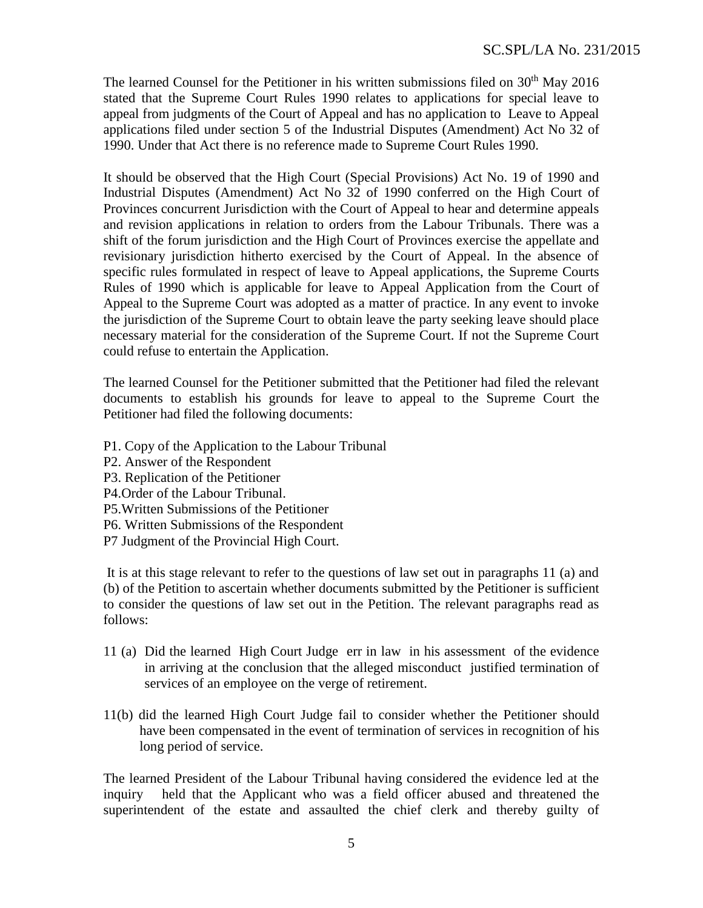The learned Counsel for the Petitioner in his written submissions filed on  $30<sup>th</sup>$  May 2016 stated that the Supreme Court Rules 1990 relates to applications for special leave to appeal from judgments of the Court of Appeal and has no application to Leave to Appeal applications filed under section 5 of the Industrial Disputes (Amendment) Act No 32 of 1990. Under that Act there is no reference made to Supreme Court Rules 1990.

It should be observed that the High Court (Special Provisions) Act No. 19 of 1990 and Industrial Disputes (Amendment) Act No 32 of 1990 conferred on the High Court of Provinces concurrent Jurisdiction with the Court of Appeal to hear and determine appeals and revision applications in relation to orders from the Labour Tribunals. There was a shift of the forum jurisdiction and the High Court of Provinces exercise the appellate and revisionary jurisdiction hitherto exercised by the Court of Appeal. In the absence of specific rules formulated in respect of leave to Appeal applications, the Supreme Courts Rules of 1990 which is applicable for leave to Appeal Application from the Court of Appeal to the Supreme Court was adopted as a matter of practice. In any event to invoke the jurisdiction of the Supreme Court to obtain leave the party seeking leave should place necessary material for the consideration of the Supreme Court. If not the Supreme Court could refuse to entertain the Application.

The learned Counsel for the Petitioner submitted that the Petitioner had filed the relevant documents to establish his grounds for leave to appeal to the Supreme Court the Petitioner had filed the following documents:

- P1. Copy of the Application to the Labour Tribunal
- P2. Answer of the Respondent
- P3. Replication of the Petitioner
- P4.Order of the Labour Tribunal.
- P5.Written Submissions of the Petitioner
- P6. Written Submissions of the Respondent
- P7 Judgment of the Provincial High Court.

It is at this stage relevant to refer to the questions of law set out in paragraphs 11 (a) and (b) of the Petition to ascertain whether documents submitted by the Petitioner is sufficient to consider the questions of law set out in the Petition. The relevant paragraphs read as follows:

- 11 (a) Did the learned High Court Judge err in law in his assessment of the evidence in arriving at the conclusion that the alleged misconduct justified termination of services of an employee on the verge of retirement.
- 11(b) did the learned High Court Judge fail to consider whether the Petitioner should have been compensated in the event of termination of services in recognition of his long period of service.

The learned President of the Labour Tribunal having considered the evidence led at the inquiry held that the Applicant who was a field officer abused and threatened the superintendent of the estate and assaulted the chief clerk and thereby guilty of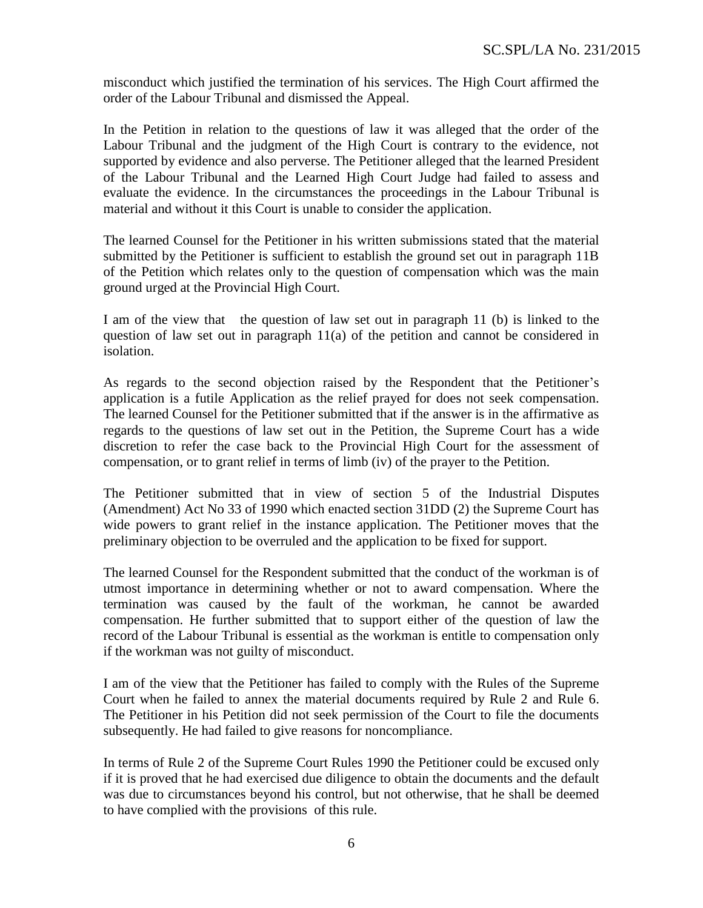misconduct which justified the termination of his services. The High Court affirmed the order of the Labour Tribunal and dismissed the Appeal.

In the Petition in relation to the questions of law it was alleged that the order of the Labour Tribunal and the judgment of the High Court is contrary to the evidence, not supported by evidence and also perverse. The Petitioner alleged that the learned President of the Labour Tribunal and the Learned High Court Judge had failed to assess and evaluate the evidence. In the circumstances the proceedings in the Labour Tribunal is material and without it this Court is unable to consider the application.

The learned Counsel for the Petitioner in his written submissions stated that the material submitted by the Petitioner is sufficient to establish the ground set out in paragraph 11B of the Petition which relates only to the question of compensation which was the main ground urged at the Provincial High Court.

I am of the view that the question of law set out in paragraph 11 (b) is linked to the question of law set out in paragraph 11(a) of the petition and cannot be considered in isolation.

As regards to the second objection raised by the Respondent that the Petitioner's application is a futile Application as the relief prayed for does not seek compensation. The learned Counsel for the Petitioner submitted that if the answer is in the affirmative as regards to the questions of law set out in the Petition, the Supreme Court has a wide discretion to refer the case back to the Provincial High Court for the assessment of compensation, or to grant relief in terms of limb (iv) of the prayer to the Petition.

The Petitioner submitted that in view of section 5 of the Industrial Disputes (Amendment) Act No 33 of 1990 which enacted section 31DD (2) the Supreme Court has wide powers to grant relief in the instance application. The Petitioner moves that the preliminary objection to be overruled and the application to be fixed for support.

The learned Counsel for the Respondent submitted that the conduct of the workman is of utmost importance in determining whether or not to award compensation. Where the termination was caused by the fault of the workman, he cannot be awarded compensation. He further submitted that to support either of the question of law the record of the Labour Tribunal is essential as the workman is entitle to compensation only if the workman was not guilty of misconduct.

I am of the view that the Petitioner has failed to comply with the Rules of the Supreme Court when he failed to annex the material documents required by Rule 2 and Rule 6. The Petitioner in his Petition did not seek permission of the Court to file the documents subsequently. He had failed to give reasons for noncompliance.

In terms of Rule 2 of the Supreme Court Rules 1990 the Petitioner could be excused only if it is proved that he had exercised due diligence to obtain the documents and the default was due to circumstances beyond his control, but not otherwise, that he shall be deemed to have complied with the provisions of this rule.